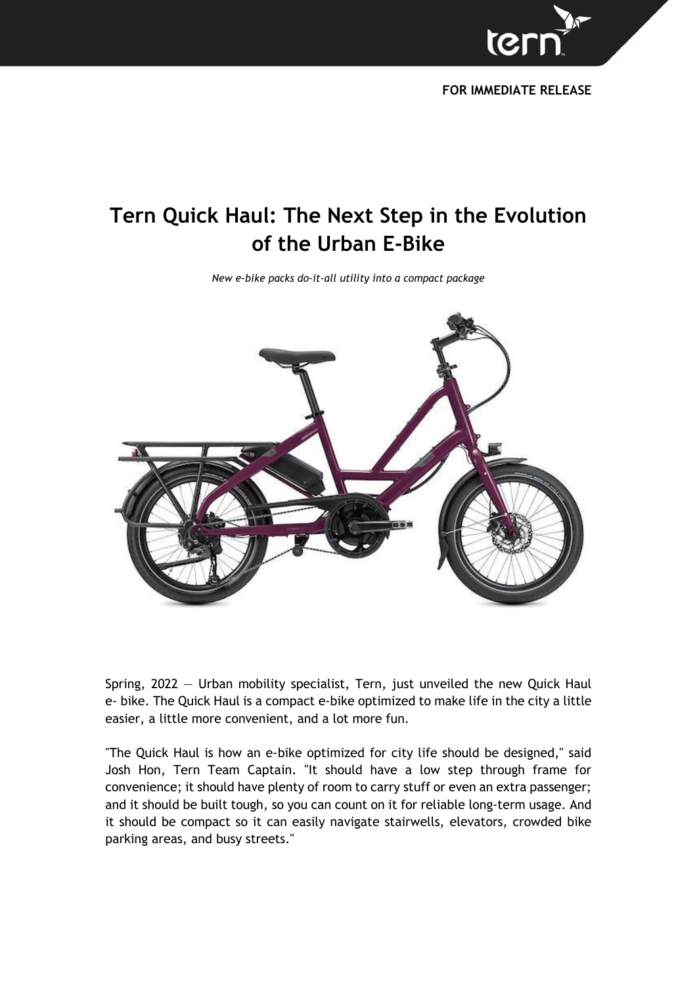

**FOR IMMEDIATE RELEASE**

# **Tern Quick Haul: The Next Step in the Evolution of the Urban E-Bike**

*New e-bike packs do-it-all utility into a compact package*



Spring, 2022 — Urban mobility specialist, Tern, just unveiled the new Quick Haul e- bike. The Quick Haul is a compact e-bike optimized to make life in the city a little easier, a little more convenient, and a lot more fun.

"The Quick Haul is how an e-bike optimized for city life should be designed," said Josh Hon, Tern Team Captain. "It should have a low step through frame for convenience; it should have plenty of room to carry stuff or even an extra passenger; and it should be built tough, so you can count on it for reliable long-term usage. And it should be compact so it can easily navigate stairwells, elevators, crowded bike parking areas, and busy streets."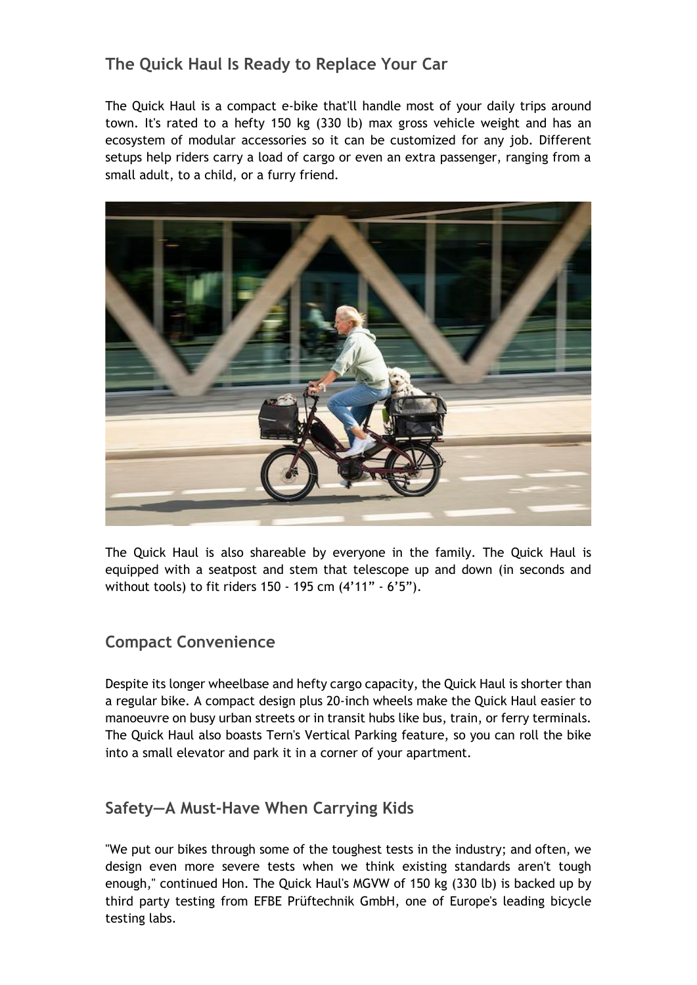## **The Quick Haul Is Ready to Replace Your Car**

The Quick Haul is a compact e-bike that'll handle most of your daily trips around town. It's rated to a hefty 150 kg (330 lb) max gross vehicle weight and has an ecosystem of modular accessories so it can be customized for any job. Different setups help riders carry a load of cargo or even an extra passenger, ranging from a small adult, to a child, or a furry friend.



The Quick Haul is also shareable by everyone in the family. The Quick Haul is equipped with a seatpost and stem that telescope up and down (in seconds and without tools) to fit riders 150 - 195 cm (4'11" - 6'5").

#### **Compact Convenience**

Despite its longer wheelbase and hefty cargo capacity, the Quick Haul is shorter than a regular bike. A compact design plus 20-inch wheels make the Quick Haul easier to manoeuvre on busy urban streets or in transit hubs like bus, train, or ferry terminals. The Quick Haul also boasts Tern's Vertical Parking feature, so you can roll the bike into a small elevator and park it in a corner of your apartment.

#### **Safety—A Must-Have When Carrying Kids**

"We put our bikes through some of the toughest tests in the industry; and often, we design even more severe tests when we think existing standards aren't tough enough," continued Hon. The Quick Haul's MGVW of 150 kg (330 lb) is backed up by third party testing from EFBE Prüftechnik GmbH, one of Europe's leading bicycle testing labs.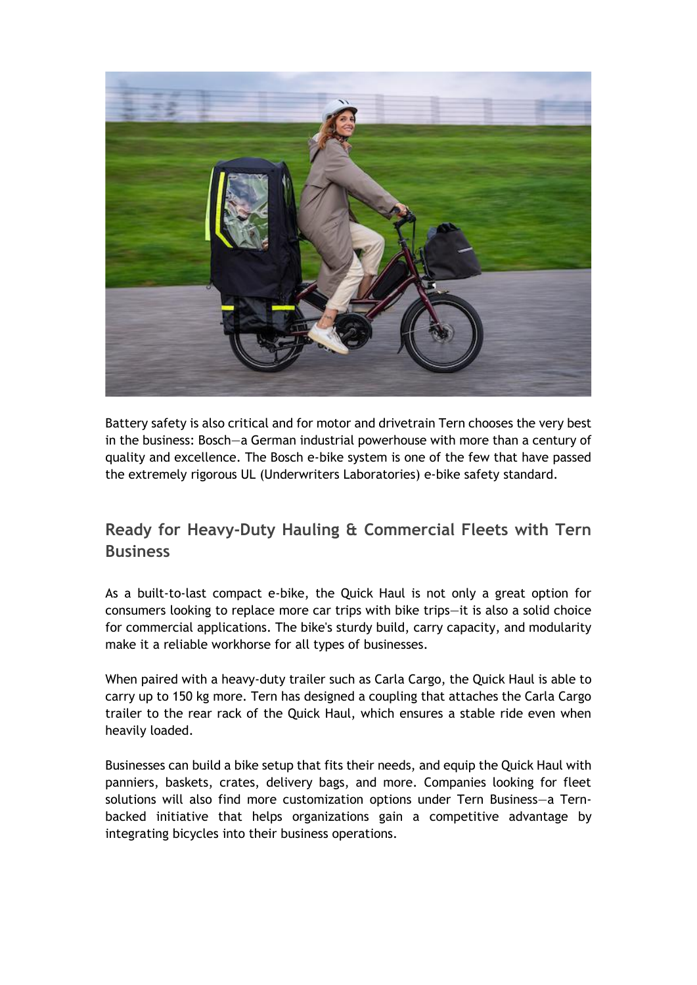

Battery safety is also critical and for motor and drivetrain Tern chooses the very best in the business: Bosch—a German industrial powerhouse with more than a century of quality and excellence. The Bosch e-bike system is one of the few that have passed the extremely rigorous UL (Underwriters Laboratories) e-bike safety standard.

## **Ready for Heavy-Duty Hauling & Commercial Fleets with Tern Business**

As a built-to-last compact e-bike, the Quick Haul is not only a great option for consumers looking to replace more car trips with bike trips—it is also a solid choice for commercial applications. The bike's sturdy build, carry capacity, and modularity make it a reliable workhorse for all types of businesses.

When paired with a heavy-duty trailer such as Carla Cargo, the Quick Haul is able to carry up to 150 kg more. Tern has designed a coupling that attaches the Carla Cargo trailer to the rear rack of the Quick Haul, which ensures a stable ride even when heavily loaded.

Businesses can build a bike setup that fits their needs, and equip the Quick Haul with panniers, baskets, crates, delivery bags, and more. Companies looking for fleet solutions will also find more customization options under Tern Business—a Ternbacked initiative that helps organizations gain a competitive advantage by integrating bicycles into their business operations.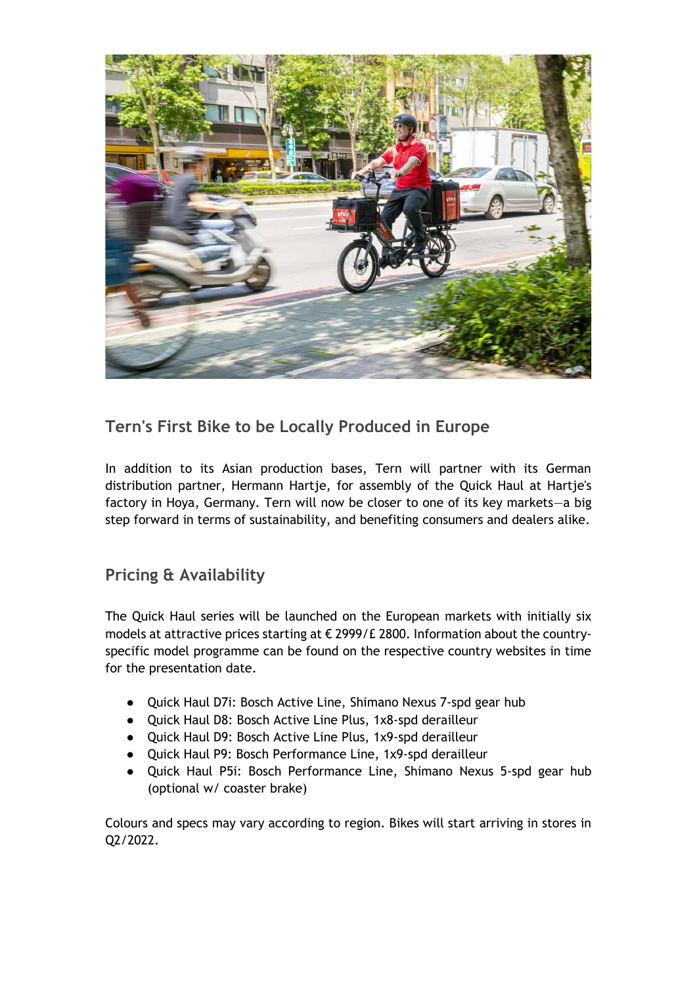

### **Tern's First Bike to be Locally Produced in Europe**

In addition to its Asian production bases, Tern will partner with its German distribution partner, Hermann Hartje, for assembly of the Quick Haul at Hartje's factory in Hoya, Germany. Tern will now be closer to one of its key markets—a big step forward in terms of sustainability, and benefiting consumers and dealers alike.

#### **Pricing & Availability**

The Quick Haul series will be launched on the European markets with initially six models at attractive prices starting at € 2999/£ 2800. Information about the countryspecific model programme can be found on the respective country websites in time for the presentation date.

- Quick Haul D7i: Bosch Active Line, Shimano Nexus 7-spd gear hub
- Quick Haul D8: Bosch Active Line Plus, 1x8-spd derailleur
- Quick Haul D9: Bosch Active Line Plus, 1x9-spd derailleur
- Quick Haul P9: Bosch Performance Line, 1x9-spd derailleur
- Quick Haul P5i: Bosch Performance Line, Shimano Nexus 5-spd gear hub (optional w/ coaster brake)

Colours and specs may vary according to region. Bikes will start arriving in stores in Q2/2022.